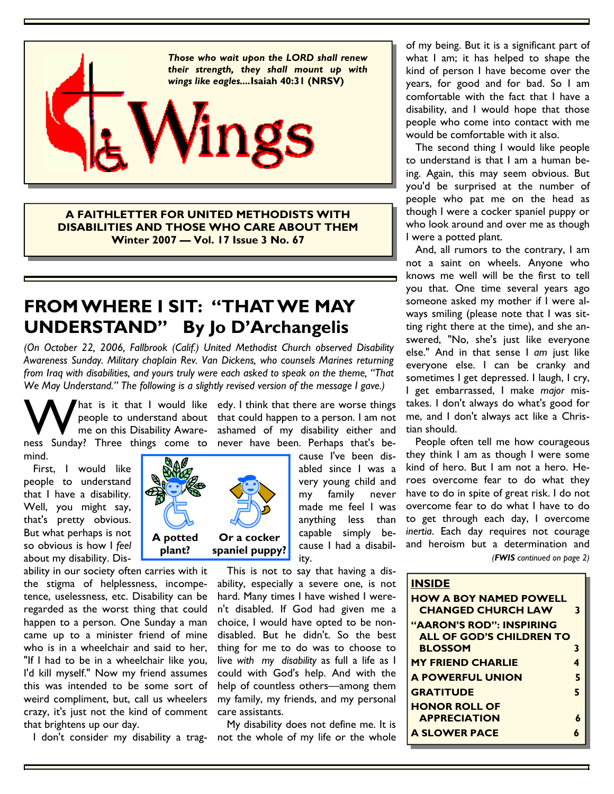

**A FAITHLETTER FOR UNITED METHODISTS WITH DISABILITIES AND THOSE WHO CARE ABOUT THEM Winter 2007 — Vol. 17 Issue 3 No. 67**

## **FROM WHERE I SIT: "THAT WE MAY UNDERSTAND" By Jo D'Archangelis**

*(On October 22, 2006, Fallbrook (Calif.) United Methodist Church observed Disability Awareness Sunday. Military chaplain Rev. Van Dickens, who counsels Marines returning from Iraq with disabilities, and yours truly were each asked to speak on the theme, "That We May Understand." The following is a slightly revised version of the message I gave.)* 

W hat is it that I would like<br>me on this Disability Aware-<br>ness Sunday? Three things come to me on this Disability Awaremind.

 First, I would like people to understand that I have a disability. Well, you might say, that's pretty obvious. But what perhaps is not so obvious is how I *feel* about my disability. Dis-

ability in our society often carries with it the stigma of helplessness, incompetence, uselessness, etc. Disability can be regarded as the worst thing that could happen to a person. One Sunday a man came up to a minister friend of mine who is in a wheelchair and said to her, "If I had to be in a wheelchair like you, I'd kill myself." Now my friend assumes this was intended to be some sort of weird compliment, but, call us wheelers crazy, it's just not the kind of comment that brightens up our day.

hat is it that I would like edy. I think that there are worse things people to understand about that could happen to a person. I am not ashamed of my disability either and ness Sunday? Three things come to never have been. Perhaps that's be-

> cause I've been disabled since I was a very young child and my family never made me feel I was anything less than capable simply because I had a disability.

 This is not to say that having a disability, especially a severe one, is not hard. Many times I have wished I weren't disabled. If God had given me a choice, I would have opted to be nondisabled. But he didn't. So the best thing for me to do was to choose to live *with my disability* as full a life as I could with God's help. And with the help of countless others—among them my family, my friends, and my personal care assistants.

 My disability does not define me. It is I don't consider my disability a trag- not the whole of my life or the whole

of my being. But it is a significant part of what I am; it has helped to shape the kind of person I have become over the years, for good and for bad. So I am comfortable with the fact that I have a disability, and I would hope that those people who come into contact with me would be comfortable with it also.

 The second thing I would like people to understand is that I am a human being. Again, this may seem obvious. But you'd be surprised at the number of people who pat me on the head as though I were a cocker spaniel puppy or who look around and over me as though I were a potted plant.

 And, all rumors to the contrary, I am not a saint on wheels. Anyone who knows me well will be the first to tell you that. One time several years ago someone asked my mother if I were always smiling (please note that I was sitting right there at the time), and she answered, "No, she's just like everyone else." And in that sense I *am* just like everyone else. I can be cranky and sometimes I get depressed. I laugh, I cry, I get embarrassed, I make *major* mistakes. I don't always do what's good for me, and I don't always act like a Christian should.

 People often tell me how courageous they think I am as though I were some kind of hero. But I am not a hero. Heroes overcome fear to do what they have to do in spite of great risk. I do not overcome fear to do what I have to do to get through each day, I overcome *inertia*. Each day requires not courage and heroism but a determination and

*(FWIS continued on page 2)* 

#### **INSIDE**

| <b>HOW A BOY NAMED POWELL</b><br><b>CHANGED CHURCH LAW</b>         | 3 |
|--------------------------------------------------------------------|---|
| <b>"AARON'S ROD": INSPIRING</b><br><b>ALL OF GOD'S CHILDREN TO</b> |   |
| <b>BLOSSOM</b>                                                     | 3 |
| <b>MY FRIEND CHARLIE</b>                                           | 4 |
| <b>A POWERFUL UNION</b>                                            | 5 |
| <b>GRATITUDE</b>                                                   | 5 |
| <b>HONOR ROLL OF</b>                                               |   |
| <b>APPRECIATION</b>                                                | 6 |
| <b>A SLOWER PACE</b>                                               |   |

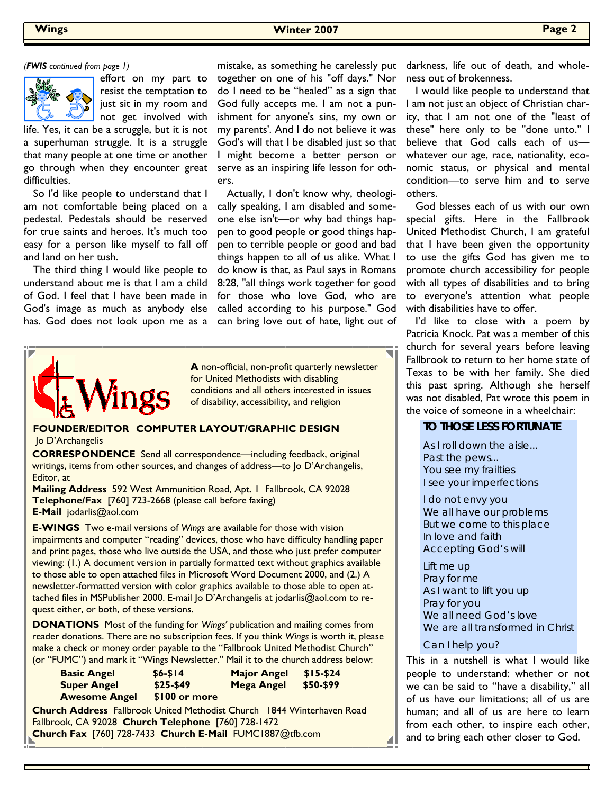

effort on my part to resist the temptation to just sit in my room and not get involved with

life. Yes, it can be a struggle, but it is not a superhuman struggle. It is a struggle that many people at one time or another go through when they encounter great difficulties.

 So I'd like people to understand that I am not comfortable being placed on a pedestal. Pedestals should be reserved for true saints and heroes. It's much too easy for a person like myself to fall off and land on her tush.

 The third thing I would like people to understand about me is that I am a child of God. I feel that I have been made in God's image as much as anybody else has. God does not look upon me as a

*(FWIS continued from page 1)* mistake, as something he carelessly put together on one of his "off days." Nor do I need to be "healed" as a sign that God fully accepts me. I am not a punishment for anyone's sins, my own or my parents'. And I do not believe it was God's will that I be disabled just so that I might become a better person or serve as an inspiring life lesson for others.

> Actually, I don't know why, theologically speaking, I am disabled and someone else isn't—or why bad things happen to good people or good things happen to terrible people or good and bad things happen to all of us alike. What I do know is that, as Paul says in Romans 8:28, "all things work together for good for those who love God, who are called according to his purpose." God can bring love out of hate, light out of



**A** non-official, non-profit quarterly newsletter for United Methodists with disabling conditions and all others interested in issues of disability, accessibility, and religion

#### **FOUNDER/EDITOR COMPUTER LAYOUT/GRAPHIC DESIGN**  Jo D'Archangelis

**CORRESPONDENCE** Send all correspondence—including feedback, original writings, items from other sources, and changes of address—to Jo D'Archangelis, Editor, at

**Mailing Address** 592 West Ammunition Road, Apt. 1 Fallbrook, CA 92028 **Telephone/Fax** [760] 723-2668 (please call before faxing) **E-Mail** jodarlis@aol.com

**E-WINGS** Two e-mail versions of *Wings* are available for those with vision impairments and computer "reading" devices, those who have difficulty handling paper and print pages, those who live outside the USA, and those who just prefer computer viewing: (1.) A document version in partially formatted text without graphics available to those able to open attached files in Microsoft Word Document 2000, and (2.) A newsletter-formatted version with color graphics available to those able to open attached files in MSPublisher 2000. E-mail Jo D'Archangelis at jodarlis@aol.com to request either, or both, of these versions.

**DONATIONS** Most of the funding for *Wings'* publication and mailing comes from reader donations. There are no subscription fees. If you think *Wings* is worth it, please make a check or money order payable to the "Fallbrook United Methodist Church" (or "FUMC") and mark it "Wings Newsletter." Mail it to the church address below:

| <b>Basic Angel</b>                                                            | $$6 - $14$    | <b>Major Angel</b> | $$15-$24$ |  |  |
|-------------------------------------------------------------------------------|---------------|--------------------|-----------|--|--|
| <b>Super Angel</b>                                                            | $$25-$49$     | <b>Mega Angel</b>  | \$50-\$99 |  |  |
| <b>Awesome Angel</b>                                                          | \$100 or more |                    |           |  |  |
| <b>Church Address</b> Fallbrook United Methodist Church 1844 Winterhaven Road |               |                    |           |  |  |
| Fallbrook, CA 92028 Church Telephone [760] 728-1472                           |               |                    |           |  |  |
| Church Fax [760] 728-7433 Church E-Mail FUMC1887@tfb.com                      |               |                    |           |  |  |

darkness, life out of death, and wholeness out of brokenness.

 I would like people to understand that I am not just an object of Christian charity, that I am not one of the "least of these" here only to be "done unto." I believe that God calls each of us whatever our age, race, nationality, economic status, or physical and mental condition—to serve him and to serve others.

 God blesses each of us with our own special gifts. Here in the Fallbrook United Methodist Church, I am grateful that I have been given the opportunity to use the gifts God has given me to promote church accessibility for people with all types of disabilities and to bring to everyone's attention what people with disabilities have to offer.

 I'd like to close with a poem by Patricia Knock. Pat was a member of this church for several years before leaving Fallbrook to return to her home state of Texas to be with her family. She died this past spring. Although she herself was not disabled, Pat wrote this poem in the voice of someone in a wheelchair:

#### **TO THOSE LESS FORTUNATE**

As I roll down the aisle... Past the pews... You see my frailties I see your imperfections

I do not envy you We all have our problems But we come to this place In love and faith Accepting God's will

Lift me up Pray for me As I want to lift you up Pray for you We all need God's love We are all transformed in Christ

Can I help you?

This in a nutshell is what I would like people to understand: whether or not we can be said to "have a disability," all of us have our limitations; all of us are human; and all of us are here to learn from each other, to inspire each other, and to bring each other closer to God.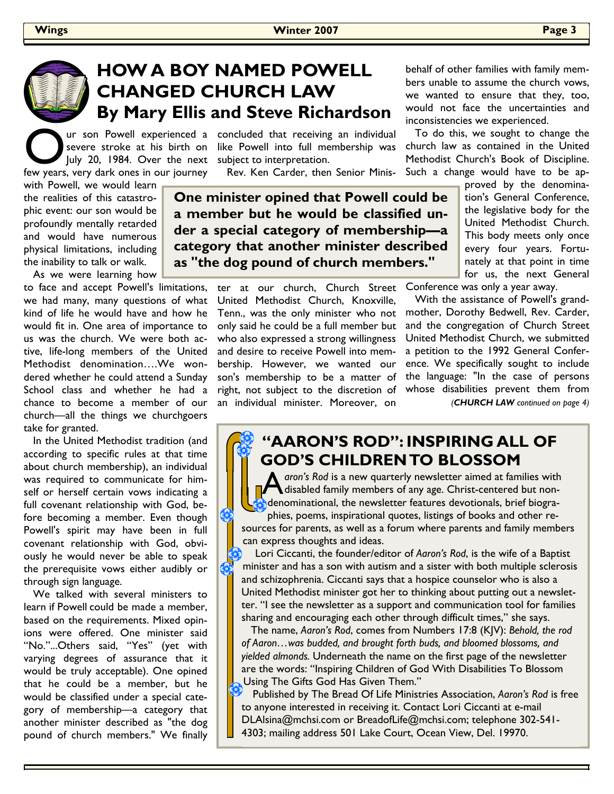

## **HOW A BOY NAMED POWELL CHANGED CHURCH LAW By Mary Ellis and Steve Richardson**

Our son Powell experienced a<br>Severe stroke at his birth on<br>the pully 20, 1984. Over the next<br>few vears very dark ones in our journey July 20, 1984. Over the next few years, very dark ones in our journey

ur son Powell experienced a concluded that receiving an individual severe stroke at his birth on like Powell into full membership was subject to interpretation.

Rev. Ken Carder, then Senior Minis-

with Powell, we would learn the realities of this catastrophic event: our son would be profoundly mentally retarded and would have numerous physical limitations, including the inability to talk or walk.

As we were learning how

to face and accept Powell's limitations, we had many, many questions of what kind of life he would have and how he would fit in. One area of importance to us was the church. We were both active, life-long members of the United Methodist denomination….We wondered whether he could attend a Sunday School class and whether he had a chance to become a member of our church—all the things we churchgoers take for granted.

 In the United Methodist tradition (and according to specific rules at that time about church membership), an individual was required to communicate for himself or herself certain vows indicating a full covenant relationship with God, before becoming a member. Even though Powell's spirit may have been in full covenant relationship with God, obviously he would never be able to speak the prerequisite vows either audibly or through sign language.

 We talked with several ministers to learn if Powell could be made a member, based on the requirements. Mixed opinions were offered. One minister said "No."...Others said, "Yes" (yet with varying degrees of assurance that it would be truly acceptable). One opined that he could be a member, but he would be classified under a special category of membership—a category that another minister described as "the dog pound of church members." We finally

**One minister opined that Powell could be a member but he would be classified under a special category of membership—a category that another minister described as "the dog pound of church members."** 

> ter at our church, Church Street Conference-was-only-a-year-away. United Methodist Church, Knoxville, Tenn., was the only minister who not only said he could be a full member but who also expressed a strong willingness and desire to receive Powell into membership. However, we wanted our son's membership to be a matter of right, not subject to the discretion of an individual minister. Moreover, on

behalf of other families with family members unable to assume the church vows, we wanted to ensure that they, too, would not face the uncertainties and inconsistencies we experienced.

 To do this, we sought to change the church law as contained in the United Methodist Church's Book of Discipline. Such a change would have to be ap-

> proved by the denomination's General Conference, the legislative body for the United Methodist Church. This body meets only once every four years. Fortunately at that point in time for us, the next General

 With the assistance of Powell's grandmother, Dorothy Bedwell, Rev. Carder, and the congregation of Church Street United Methodist Church, we submitted a petition to the 1992 General Conference. We specifically sought to include the language: "In the case of persons whose disabilities prevent them from *(CHURCH LAW continued on page 4)* 

### **"AARON'S ROD": INSPIRING ALL OF GOD'S CHILDREN TO BLOSSOM**

aron's Rod is a new quarterly newsletter aimed at families with disabled family members of any age. Christ-centered but nondenominational, the newsletter features devotionals, brief biographies, poems, inspirational quotes, listings of books and other resources for parents, as well as a forum where parents and family members can express thoughts and ideas.

 Lori Ciccanti, the founder/editor of *Aaron's Rod*, is the wife of a Baptist minister and has a son with autism and a sister with both multiple sclerosis and schizophrenia. Ciccanti says that a hospice counselor who is also a United Methodist minister got her to thinking about putting out a newsletter. "I see the newsletter as a support and communication tool for families sharing and encouraging each other through difficult times," she says.

 The name, *Aaron's Rod*, comes from Numbers 17:8 (KJV): *Behold, the rod of Aaron…was budded, and brought forth buds, and bloomed blossoms, and yielded almonds.* Underneath the name on the first page of the newsletter are the words: "Inspiring Children of God With Disabilities To Blossom Using The Gifts God Has Given Them."

 Published by The Bread Of Life Ministries Association, *Aaron's Rod* is free to anyone interested in receiving it. Contact Lori Ciccanti at e-mail DLAlsina@mchsi.com or BreadofLife@mchsi.com; telephone 302-541- 4303; mailing address 501 Lake Court, Ocean View, Del. 19970.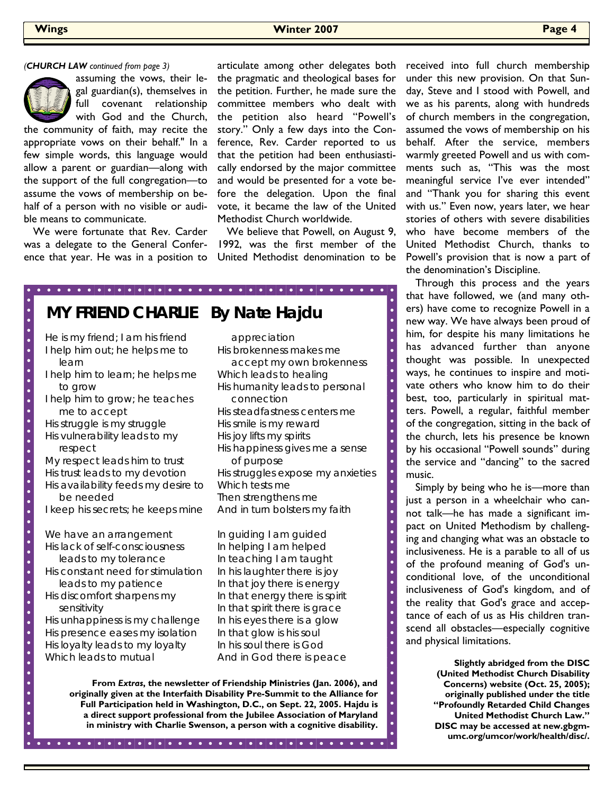

assuming the vows, their legal guardian(s), themselves in full covenant relationship with God and the Church,

the community of faith, may recite the appropriate vows on their behalf." In a few simple words, this language would allow a parent or guardian—along with the support of the full congregation—to assume the vows of membership on behalf of a person with no visible or audible means to communicate.

 We were fortunate that Rev. Carder was a delegate to the General Conference that year. He was in a position to articulate among other delegates both the pragmatic and theological bases for the petition. Further, he made sure the committee members who dealt with the petition also heard "Powell's story." Only a few days into the Conference, Rev. Carder reported to us that the petition had been enthusiastically endorsed by the major committee and would be presented for a vote before the delegation. Upon the final vote, it became the law of the United Methodist Church worldwide.

 We believe that Powell, on August 9, 1992, was the first member of the United Methodist denomination to be

 $\overline{\bullet}$ 

 $\ddot{\phantom{1}}$ 

 $\ddot{\phantom{1}}$ 

 $\ddot{\phantom{1}}$ 

 $\ddot{\bullet}$ 

 $\ddot{\phantom{1}}$ 

 $\ddot{\phantom{1}}$ 

 $\ddot{\phantom{1}}$ 

 $\ddot{\phantom{1}}$  $\overline{\bullet}$ 

 $\ddot{\bullet}$ 

**MY FRIEND CHARLIE By Nate Hajdu**  He is my friend; I am his friend appreciation  $\bullet$  $\bullet$ I help him out; he helps me to His brokenness makes me  $\bullet$  accept my own brokenness learn  $\bullet$ I help him to learn; he helps me Which leads to healing  $\bullet$ His humanity leads to personal to grow  $\overline{\phantom{a}}$  $\bullet$ I help him to grow; he teaches connection His steadfastness centers me  $\bullet$  me to accept  $\bullet$ His struggle is my struggle His smile is my reward  $\bullet$ His vulnerability leads to my His joy lifts my spirits  $\overline{\bullet}$ His happiness gives me a sense respect  $\bullet$  $\bullet$ My respect leads him to trust of purpose His trust leads to my devotion His struggles expose my anxieties  $\bullet$ His availability feeds my desire to Which tests me be needed Then strengthens me  $\bullet$ I keep his secrets; he keeps mine And in turn bolsters my faith  $\bullet$  $\bullet$  $\bullet$ We have an arrangement In guiding I am guided  $\bullet$ His lack of self-consciousness In helping I am helped  $\bullet$  leads to my tolerance In teaching I am taught  $\bullet$  $\bullet$ His constant need for stimulation In his laughter there is joy leads to my patience In that joy there is energy  $\bullet$ In that energy there is spirit His discomfort sharpens my  $\bullet$ In that spirit there is grace sensitivity  $\bullet$ His unhappiness is my challenge In his eyes there is a glow  $\bullet$  $\bullet$ His presence eases my isolation In that glow is his soul  $\bullet$ His loyalty leads to my loyalty In his soul there is God Which leads to mutual And in God there is peace

> **From** *Extras***, the newsletter of Friendship Ministries (Jan. 2006), and originally given at the Interfaith Disability Pre-Summit to the Alliance for Full Participation held in Washington, D.C., on Sept. 22, 2005. Hajdu is a direct support professional from the Jubilee Association of Maryland in ministry with Charlie Swenson, a person with a cognitive disability.**

received into full church membership under this new provision. On that Sunday, Steve and I stood with Powell, and we as his parents, along with hundreds of church members in the congregation, assumed the vows of membership on his behalf. After the service, members warmly greeted Powell and us with comments such as, "This was the most meaningful service I've ever intended" and "Thank you for sharing this event with us." Even now, years later, we hear stories of others with severe disabilities who have become members of the United Methodist Church, thanks to Powell's provision that is now a part of the denomination's Discipline.

 Through this process and the years that have followed, we (and many others) have come to recognize Powell in a new way. We have always been proud of him, for despite his many limitations he has advanced further than anyone thought was possible. In unexpected ways, he continues to inspire and motivate others who know him to do their best, too, particularly in spiritual matters. Powell, a regular, faithful member of the congregation, sitting in the back of the church, lets his presence be known by his occasional "Powell sounds" during the service and "dancing" to the sacred music.

 Simply by being who he is—more than just a person in a wheelchair who cannot talk—he has made a significant impact on United Methodism by challenging and changing what was an obstacle to inclusiveness. He is a parable to all of us of the profound meaning of God's unconditional love, of the unconditional inclusiveness of God's kingdom, and of the reality that God's grace and acceptance of each of us as His children transcend all obstacles—especially cognitive and physical limitations.

> **Slightly abridged from the DISC (United Methodist Church Disability Concerns) website (Oct. 25, 2005); originally published under the title "Profoundly Retarded Child Changes United Methodist Church Law." DISC may be accessed at new.gbgmumc.org/umcor/work/health/disc/.**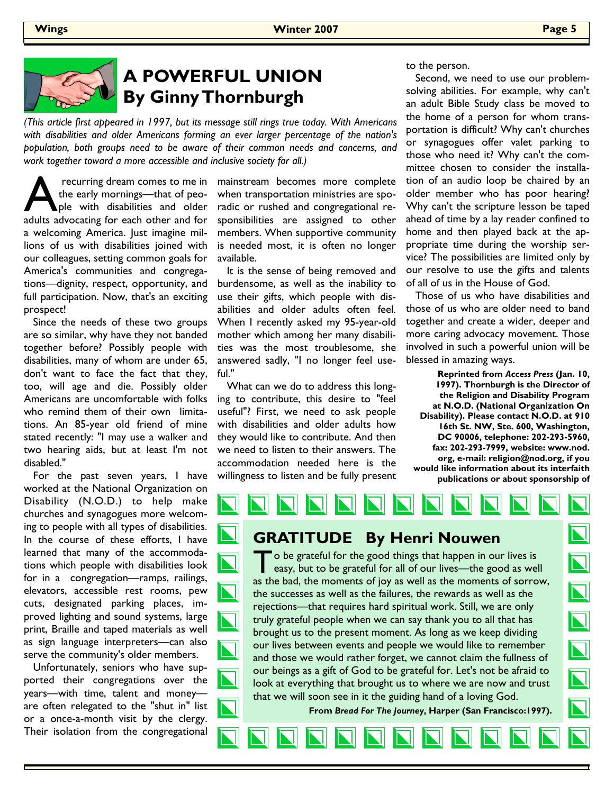

## **A POWERFUL UNION By Ginny Thornburgh**

*(This article first appeared in 1997, but its message still rings true today. With Americans with disabilities and older Americans forming an ever larger percentage of the nation's population, both groups need to be aware of their common needs and concerns, and work together toward a more accessible and inclusive society for all.)* 

recurring dream comes to me in<br>the early mornings—that of peo-<br>ple with disabilities and older<br>adults advocating for each other and for the early mornings—that of people with disabilities and older adults advocating for each other and for a welcoming America. Just imagine millions of us with disabilities joined with our colleagues, setting common goals for America's communities and congregations—dignity, respect, opportunity, and full participation. Now, that's an exciting prospect!

 Since the needs of these two groups are so similar, why have they not banded together before? Possibly people with disabilities, many of whom are under 65, don't want to face the fact that they, too, will age and die. Possibly older Americans are uncomfortable with folks who remind them of their own limitations. An 85-year old friend of mine stated recently: "I may use a walker and two hearing aids, but at least I'm not disabled."

 For the past seven years, I have worked at the National Organization on Disability (N.O.D.) to help make churches and synagogues more welcoming to people with all types of disabilities. In the course of these efforts, I have learned that many of the accommodations which people with disabilities look for in a congregation—ramps, railings, elevators, accessible rest rooms, pew cuts, designated parking places, improved lighting and sound systems, large print, Braille and taped materials as well as sign language interpreters—can also serve the community's older members.

 Unfortunately, seniors who have supported their congregations over the years—with time, talent and money are often relegated to the "shut in" list or a once-a-month visit by the clergy. Their isolation from the congregational

mainstream becomes more complete when transportation ministries are sporadic or rushed and congregational responsibilities are assigned to other members. When supportive community is needed most, it is often no longer available.

 It is the sense of being removed and burdensome, as well as the inability to use their gifts, which people with disabilities and older adults often feel. When I recently asked my 95-year-old mother which among her many disabilities was the most troublesome, she answered sadly, "I no longer feel useful."

 What can we do to address this longing to contribute, this desire to "feel useful"? First, we need to ask people with disabilities and older adults how they would like to contribute. And then we need to listen to their answers. The accommodation needed here is the willingness to listen and be fully present to the person.

 Second, we need to use our problemsolving abilities. For example, why can't an adult Bible Study class be moved to the home of a person for whom transportation is difficult? Why can't churches or synagogues offer valet parking to those who need it? Why can't the committee chosen to consider the installation of an audio loop be chaired by an older member who has poor hearing? Why can't the scripture lesson be taped ahead of time by a lay reader confined to home and then played back at the appropriate time during the worship service? The possibilities are limited only by our resolve to use the gifts and talents of all of us in the House of God.

 Those of us who have disabilities and those of us who are older need to band together and create a wider, deeper and more caring advocacy movement. Those involved in such a powerful union will be blessed in amazing ways.

**Reprinted from** *Access Press* **(Jan. 10, 1997). Thornburgh is the Director of the Religion and Disability Program at N.O.D. (National Organization On Disability). Please contact N.O.D. at 910 16th St. NW, Ste. 600, Washington, DC 90006, telephone: 202-293-5960, fax: 202-293-7999, website: www.nod. org, e-mail: religion@nod.org, if you would like information about its interfaith publications or about sponsorship of** 

**GRATITUDE By Henri Nouwen**   $\blacksquare$  o be grateful for the good things that happen in our lives is easy, but to be grateful for all of our lives—the good as well as the bad, the moments of joy as well as the moments of sorrow, the successes as well as the failures, the rewards as well as the rejections—that requires hard spiritual work. Still, we are only truly grateful people when we can say thank you to all that has brought us to the present moment. As long as we keep dividing our lives between events and people we would like to remember and those we would rather forget, we cannot claim the fullness of  $\overline{\bf N}$ our beings as a gift of God to be grateful for. Let's not be afraid to look at everything that brought us to where we are now and trust that we will soon see in it the guiding hand of a loving God. **From** *Bread For The Journey***, Harper (San Francisco:1997).**